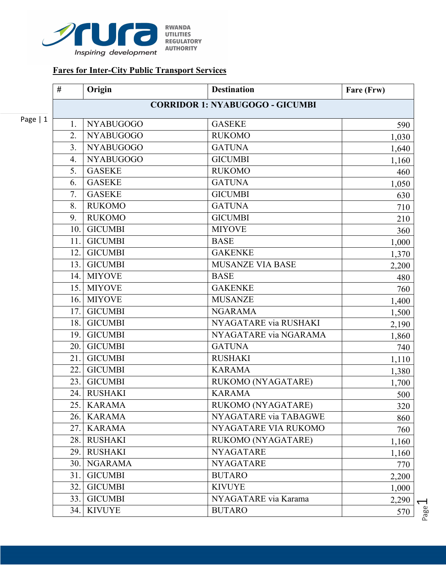

## **Fares for Inter-City Public Transport Services**

|           | #                                      | Origin           | <b>Destination</b>      | Fare (Frw) |  |
|-----------|----------------------------------------|------------------|-------------------------|------------|--|
|           | <b>CORRIDOR 1: NYABUGOGO - GICUMBI</b> |                  |                         |            |  |
| Page $ 1$ | 1.                                     | <b>NYABUGOGO</b> | <b>GASEKE</b>           | 590        |  |
|           | 2.                                     | <b>NYABUGOGO</b> | <b>RUKOMO</b>           | 1,030      |  |
|           | 3.                                     | <b>NYABUGOGO</b> | <b>GATUNA</b>           | 1,640      |  |
|           | 4.                                     | <b>NYABUGOGO</b> | <b>GICUMBI</b>          | 1,160      |  |
|           | 5.                                     | <b>GASEKE</b>    | <b>RUKOMO</b>           | 460        |  |
|           | 6.                                     | <b>GASEKE</b>    | <b>GATUNA</b>           | 1,050      |  |
|           | 7.                                     | <b>GASEKE</b>    | <b>GICUMBI</b>          | 630        |  |
|           | 8.                                     | <b>RUKOMO</b>    | <b>GATUNA</b>           | 710        |  |
|           | 9.                                     | <b>RUKOMO</b>    | <b>GICUMBI</b>          | 210        |  |
|           | 10.                                    | <b>GICUMBI</b>   | <b>MIYOVE</b>           | 360        |  |
|           | 11.                                    | <b>GICUMBI</b>   | <b>BASE</b>             | 1,000      |  |
|           | 12.                                    | <b>GICUMBI</b>   | <b>GAKENKE</b>          | 1,370      |  |
|           | 13.                                    | <b>GICUMBI</b>   | <b>MUSANZE VIA BASE</b> | 2,200      |  |
|           | 14.                                    | <b>MIYOVE</b>    | <b>BASE</b>             | 480        |  |
|           | 15.                                    | <b>MIYOVE</b>    | <b>GAKENKE</b>          | 760        |  |
|           | 16.                                    | <b>MIYOVE</b>    | <b>MUSANZE</b>          | 1,400      |  |
|           | 17.                                    | <b>GICUMBI</b>   | <b>NGARAMA</b>          | 1,500      |  |
|           | 18.                                    | <b>GICUMBI</b>   | NYAGATARE via RUSHAKI   | 2,190      |  |
|           | 19.                                    | <b>GICUMBI</b>   | NYAGATARE via NGARAMA   | 1,860      |  |
|           | 20.                                    | <b>GICUMBI</b>   | <b>GATUNA</b>           | 740        |  |
|           | 21.                                    | <b>GICUMBI</b>   | <b>RUSHAKI</b>          | 1,110      |  |
|           | 22.                                    | <b>GICUMBI</b>   | <b>KARAMA</b>           | 1,380      |  |
|           | 23.                                    | <b>GICUMBI</b>   | RUKOMO (NYAGATARE)      | 1,700      |  |
|           | 24.                                    | <b>RUSHAKI</b>   | <b>KARAMA</b>           | 500        |  |
|           | 25.                                    | <b>KARAMA</b>    | RUKOMO (NYAGATARE)      | 320        |  |
|           | 26.                                    | <b>KARAMA</b>    | NYAGATARE via TABAGWE   | 860        |  |
|           | 27.                                    | <b>KARAMA</b>    | NYAGATARE VIA RUKOMO    | 760        |  |
|           | 28.                                    | <b>RUSHAKI</b>   | RUKOMO (NYAGATARE)      | 1,160      |  |
|           | 29.                                    | <b>RUSHAKI</b>   | <b>NYAGATARE</b>        | 1,160      |  |
|           | 30.                                    | <b>NGARAMA</b>   | <b>NYAGATARE</b>        | 770        |  |
|           | 31.                                    | <b>GICUMBI</b>   | <b>BUTARO</b>           | 2,200      |  |
|           | 32.                                    | <b>GICUMBI</b>   | <b>KIVUYE</b>           | 1,000      |  |
|           | 33.                                    | <b>GICUMBI</b>   | NYAGATARE via Karama    | 2,290      |  |
|           | 34.                                    | <b>KIVUYE</b>    | <b>BUTARO</b>           | 570        |  |

Page  $\overline{\phantom{0}}$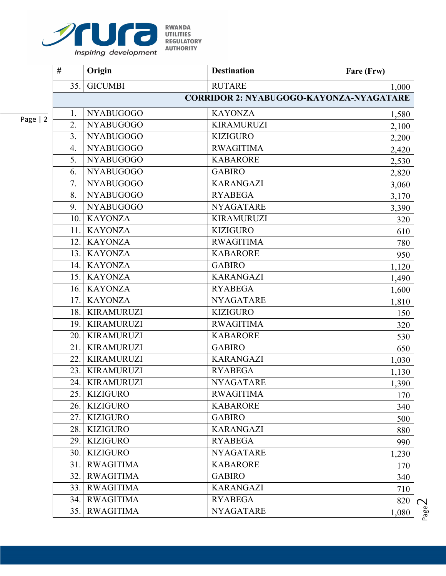

| .                 |
|-------------------|
| UTILITIES         |
| <b>REGULATORY</b> |
| AUTHORITY         |
|                   |

|   | #                                              | Origin            | <b>Destination</b> | Fare (Frw) |  |  |
|---|------------------------------------------------|-------------------|--------------------|------------|--|--|
|   | 35.1                                           | <b>GICUMBI</b>    | <b>RUTARE</b>      | 1,000      |  |  |
|   | <b>CORRIDOR 2: NYABUGOGO-KAYONZA-NYAGATARE</b> |                   |                    |            |  |  |
| 2 | 1.                                             | <b>NYABUGOGO</b>  | <b>KAYONZA</b>     | 1,580      |  |  |
|   | $\overline{2}$ .                               | <b>NYABUGOGO</b>  | <b>KIRAMURUZI</b>  | 2,100      |  |  |
|   | 3.                                             | <b>NYABUGOGO</b>  | <b>KIZIGURO</b>    | 2,200      |  |  |
|   | 4.                                             | <b>NYABUGOGO</b>  | <b>RWAGITIMA</b>   | 2,420      |  |  |
|   | 5.                                             | <b>NYABUGOGO</b>  | <b>KABARORE</b>    | 2,530      |  |  |
|   | 6.                                             | <b>NYABUGOGO</b>  | <b>GABIRO</b>      | 2,820      |  |  |
|   | 7.                                             | <b>NYABUGOGO</b>  | <b>KARANGAZI</b>   | 3,060      |  |  |
|   | 8.                                             | <b>NYABUGOGO</b>  | <b>RYABEGA</b>     | 3,170      |  |  |
|   | 9.                                             | <b>NYABUGOGO</b>  | <b>NYAGATARE</b>   | 3,390      |  |  |
|   | 10.1                                           | <b>KAYONZA</b>    | <b>KIRAMURUZI</b>  | 320        |  |  |
|   | 11.                                            | <b>KAYONZA</b>    | <b>KIZIGURO</b>    | 610        |  |  |
|   | 12.                                            | <b>KAYONZA</b>    | <b>RWAGITIMA</b>   | 780        |  |  |
|   | 13.1                                           | <b>KAYONZA</b>    | <b>KABARORE</b>    | 950        |  |  |
|   |                                                | 14. KAYONZA       | <b>GABIRO</b>      | 1,120      |  |  |
|   | 15.1                                           | <b>KAYONZA</b>    | <b>KARANGAZI</b>   | 1,490      |  |  |
|   | 16.1                                           | <b>KAYONZA</b>    | <b>RYABEGA</b>     | 1,600      |  |  |
|   | 17.1                                           | <b>KAYONZA</b>    | <b>NYAGATARE</b>   | 1,810      |  |  |
|   | 18.                                            | <b>KIRAMURUZI</b> | <b>KIZIGURO</b>    | 150        |  |  |
|   | 19.1                                           | <b>KIRAMURUZI</b> | <b>RWAGITIMA</b>   | 320        |  |  |
|   | 20.1                                           | <b>KIRAMURUZI</b> | <b>KABARORE</b>    | 530        |  |  |
|   | 21.                                            | <b>KIRAMURUZI</b> | <b>GABIRO</b>      | 650        |  |  |
|   | 22.                                            | <b>KIRAMURUZI</b> | <b>KARANGAZI</b>   | 1,030      |  |  |
|   | 23.                                            | <b>KIRAMURUZI</b> | <b>RYABEGA</b>     | 1,130      |  |  |
|   | 24.                                            | <b>KIRAMURUZI</b> | <b>NYAGATARE</b>   | 1,390      |  |  |
|   |                                                | 25. KIZIGURO      | <b>RWAGITIMA</b>   | 170        |  |  |
|   | 26.                                            | <b>KIZIGURO</b>   | <b>KABARORE</b>    | 340        |  |  |
|   | 27.                                            | <b>KIZIGURO</b>   | <b>GABIRO</b>      | 500        |  |  |
|   | 28.                                            | <b>KIZIGURO</b>   | <b>KARANGAZI</b>   | 880        |  |  |
|   | 29.                                            | <b>KIZIGURO</b>   | <b>RYABEGA</b>     | 990        |  |  |
|   | 30.                                            | <b>KIZIGURO</b>   | <b>NYAGATARE</b>   | 1,230      |  |  |
|   | 31.                                            | <b>RWAGITIMA</b>  | <b>KABARORE</b>    | 170        |  |  |
|   | 32.                                            | <b>RWAGITIMA</b>  | <b>GABIRO</b>      | 340        |  |  |
|   | 33.                                            | <b>RWAGITIMA</b>  | <b>KARANGAZI</b>   | 710        |  |  |
|   | 34.                                            | <b>RWAGITIMA</b>  | <b>RYABEGA</b>     | 820        |  |  |
|   | 35.                                            | <b>RWAGITIMA</b>  | <b>NYAGATARE</b>   | 1,080      |  |  |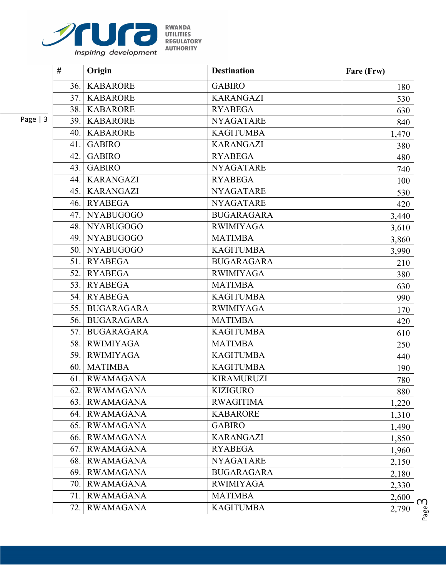

| <b>KWANDA</b>     |
|-------------------|
| <b>UTILITIES</b>  |
| <b>REGULATORY</b> |
| <b>AUTHORITY</b>  |
|                   |

|           | #    | Origin            | <b>Destination</b> | Fare (Frw) |
|-----------|------|-------------------|--------------------|------------|
|           | 36.  | <b>KABARORE</b>   | <b>GABIRO</b>      | 180        |
|           | 37.1 | <b>KABARORE</b>   | <b>KARANGAZI</b>   | 530        |
|           | 38.  | <b>KABARORE</b>   | <b>RYABEGA</b>     | 630        |
| Page $ 3$ | 39.  | <b>KABARORE</b>   | <b>NYAGATARE</b>   | 840        |
|           | 40.  | <b>KABARORE</b>   | <b>KAGITUMBA</b>   | 1,470      |
|           | 41.  | <b>GABIRO</b>     | <b>KARANGAZI</b>   | 380        |
|           | 42.  | <b>GABIRO</b>     | <b>RYABEGA</b>     | 480        |
|           | 43.  | <b>GABIRO</b>     | <b>NYAGATARE</b>   | 740        |
|           | 44.  | <b>KARANGAZI</b>  | <b>RYABEGA</b>     | 100        |
|           | 45.  | <b>KARANGAZI</b>  | <b>NYAGATARE</b>   | 530        |
|           | 46.  | <b>RYABEGA</b>    | <b>NYAGATARE</b>   | 420        |
|           | 47.  | <b>NYABUGOGO</b>  | <b>BUGARAGARA</b>  | 3,440      |
|           | 48.1 | <b>NYABUGOGO</b>  | <b>RWIMIYAGA</b>   | 3,610      |
|           | 49.  | <b>NYABUGOGO</b>  | <b>MATIMBA</b>     | 3,860      |
|           | 50.1 | <b>NYABUGOGO</b>  | <b>KAGITUMBA</b>   | 3,990      |
|           | 51.1 | <b>RYABEGA</b>    | <b>BUGARAGARA</b>  | 210        |
|           | 52.  | <b>RYABEGA</b>    | <b>RWIMIYAGA</b>   | 380        |
|           | 53.  | <b>RYABEGA</b>    | <b>MATIMBA</b>     | 630        |
|           | 54.1 | <b>RYABEGA</b>    | <b>KAGITUMBA</b>   | 990        |
|           | 55.1 | <b>BUGARAGARA</b> | <b>RWIMIYAGA</b>   | 170        |
|           | 56.  | <b>BUGARAGARA</b> | <b>MATIMBA</b>     | 420        |
|           | 57.1 | <b>BUGARAGARA</b> | <b>KAGITUMBA</b>   | 610        |
|           | 58.  | <b>RWIMIYAGA</b>  | <b>MATIMBA</b>     | 250        |
|           |      | 59. RWIMIYAGA     | <b>KAGITUMBA</b>   | 440        |
|           | 60.  | <b>MATIMBA</b>    | <b>KAGITUMBA</b>   | 190        |
|           | 61.  | <b>RWAMAGANA</b>  | <b>KIRAMURUZI</b>  | 780        |
|           |      | 62. RWAMAGANA     | <b>KIZIGURO</b>    | 880        |
|           | 63.  | <b>RWAMAGANA</b>  | <b>RWAGITIMA</b>   | 1,220      |
|           | 64.  | <b>RWAMAGANA</b>  | <b>KABARORE</b>    | 1,310      |
|           | 65.  | <b>RWAMAGANA</b>  | <b>GABIRO</b>      | 1,490      |
|           | 66.  | <b>RWAMAGANA</b>  | <b>KARANGAZI</b>   | 1,850      |
|           | 67.  | <b>RWAMAGANA</b>  | <b>RYABEGA</b>     | 1,960      |
|           | 68.  | <b>RWAMAGANA</b>  | <b>NYAGATARE</b>   | 2,150      |
|           | 69.  | <b>RWAMAGANA</b>  | <b>BUGARAGARA</b>  | 2,180      |
|           | 70.  | <b>RWAMAGANA</b>  | <b>RWIMIYAGA</b>   | 2,330      |
|           | 71.  | <b>RWAMAGANA</b>  | <b>MATIMBA</b>     | 2,600      |
|           | 72.  | <b>RWAMAGANA</b>  | <b>KAGITUMBA</b>   | 2,790      |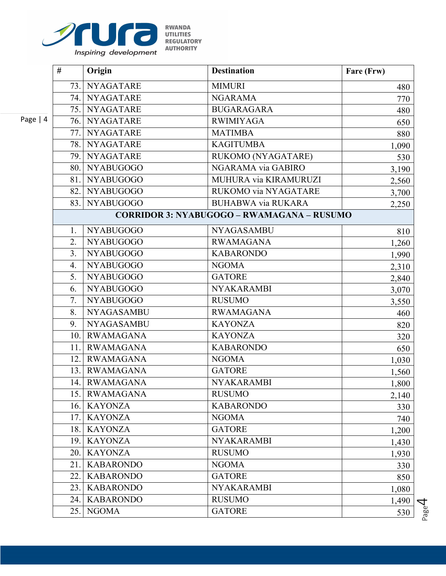

| KWANDA            |
|-------------------|
| UTILITIES         |
| <b>REGULATORY</b> |
| AUTHORITY         |
|                   |

|        | #   | Origin               | <b>Destination</b>                                | Fare (Frw) |
|--------|-----|----------------------|---------------------------------------------------|------------|
|        | 73. | <b>NYAGATARE</b>     | <b>MIMURI</b>                                     | 480        |
|        |     | 74. NYAGATARE        | <b>NGARAMA</b>                                    | 770        |
|        |     | 75. NYAGATARE        | <b>BUGARAGARA</b>                                 | 480        |
| $= 14$ |     | 76. NYAGATARE        | <b>RWIMIYAGA</b>                                  | 650        |
|        | 77. | <b>NYAGATARE</b>     | <b>MATIMBA</b>                                    | 880        |
|        |     | 78. NYAGATARE        | <b>KAGITUMBA</b>                                  | 1,090      |
|        |     | 79. NYAGATARE        | RUKOMO (NYAGATARE)                                | 530        |
|        |     | <b>80.</b> NYABUGOGO | NGARAMA via GABIRO                                | 3,190      |
|        | 81. | <b>NYABUGOGO</b>     | MUHURA via KIRAMURUZI                             | 2,560      |
|        |     | 82. NYABUGOGO        | RUKOMO via NYAGATARE                              | 3,700      |
|        | 83. | <b>NYABUGOGO</b>     | <b>BUHABWA via RUKARA</b>                         | 2,250      |
|        |     |                      | <b>CORRIDOR 3: NYABUGOGO - RWAMAGANA - RUSUMO</b> |            |
|        | 1.  | <b>NYABUGOGO</b>     | <b>NYAGASAMBU</b>                                 | 810        |
|        | 2.  | <b>NYABUGOGO</b>     | <b>RWAMAGANA</b>                                  | 1,260      |
|        | 3.  | <b>NYABUGOGO</b>     | <b>KABARONDO</b>                                  | 1,990      |
|        | 4.  | <b>NYABUGOGO</b>     | <b>NGOMA</b>                                      | 2,310      |
|        | 5.  | <b>NYABUGOGO</b>     | <b>GATORE</b>                                     | 2,840      |
|        | 6.  | <b>NYABUGOGO</b>     | <b>NYAKARAMBI</b>                                 | 3,070      |
|        | 7.  | <b>NYABUGOGO</b>     | <b>RUSUMO</b>                                     | 3,550      |
|        | 8.  | <b>NYAGASAMBU</b>    | <b>RWAMAGANA</b>                                  | 460        |
|        | 9.  | <b>NYAGASAMBU</b>    | <b>KAYONZA</b>                                    | 820        |
|        |     | 10. RWAMAGANA        | <b>KAYONZA</b>                                    | 320        |
|        | 11. | <b>RWAMAGANA</b>     | <b>KABARONDO</b>                                  | 650        |
|        |     | 12. RWAMAGANA        | <b>NGOMA</b>                                      | 1,030      |
|        |     | 13. RWAMAGANA        | <b>GATORE</b>                                     | 1,560      |
|        | 14. | RWAMAGANA            | <b>NYAKARAMBI</b>                                 | 1,800      |
|        |     | 15. RWAMAGANA        | <b>RUSUMO</b>                                     | 2,140      |
|        |     | 16. KAYONZA          | <b>KABARONDO</b>                                  | 330        |
|        | 17. | <b>KAYONZA</b>       | <b>NGOMA</b>                                      | 740        |
|        | 18. | <b>KAYONZA</b>       | <b>GATORE</b>                                     | 1,200      |
|        | 19. | <b>KAYONZA</b>       | <b>NYAKARAMBI</b>                                 | 1,430      |
|        | 20. | <b>KAYONZA</b>       | <b>RUSUMO</b>                                     | 1,930      |
|        | 21. | <b>KABARONDO</b>     | <b>NGOMA</b>                                      | 330        |
|        | 22. | <b>KABARONDO</b>     | <b>GATORE</b>                                     | 850        |
|        | 23. | <b>KABARONDO</b>     | <b>NYAKARAMBI</b>                                 | 1,080      |
|        | 24. | <b>KABARONDO</b>     | <b>RUSUMO</b>                                     | 1,490      |
|        | 25. | <b>NGOMA</b>         | <b>GATORE</b>                                     | 530        |

Page  $\overline{\mathcal{A}}$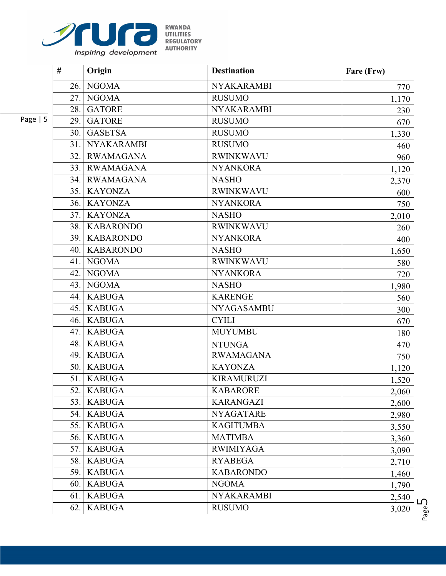

| r wan da          |
|-------------------|
| UTILITIES         |
| <b>REGULATORY</b> |
| AUTHORITY         |
|                   |

|            | #    | Origin            | <b>Destination</b> | Fare (Frw) |
|------------|------|-------------------|--------------------|------------|
|            | 26.  | <b>NGOMA</b>      | <b>NYAKARAMBI</b>  | 770        |
|            | 27.  | <b>NGOMA</b>      | <b>RUSUMO</b>      | 1,170      |
|            | 28.  | <b>GATORE</b>     | <b>NYAKARAMBI</b>  | 230        |
| Page $  5$ | 29.  | <b>GATORE</b>     | <b>RUSUMO</b>      | 670        |
|            | 30.  | <b>GASETSA</b>    | <b>RUSUMO</b>      | 1,330      |
|            | 31.  | <b>NYAKARAMBI</b> | <b>RUSUMO</b>      | 460        |
|            | 32.  | <b>RWAMAGANA</b>  | <b>RWINKWAVU</b>   | 960        |
|            | 33.  | <b>RWAMAGANA</b>  | <b>NYANKORA</b>    | 1,120      |
|            | 34.  | <b>RWAMAGANA</b>  | <b>NASHO</b>       | 2,370      |
|            | 35.1 | <b>KAYONZA</b>    | <b>RWINKWAVU</b>   | 600        |
|            | 36.  | <b>KAYONZA</b>    | <b>NYANKORA</b>    | 750        |
|            | 37.  | <b>KAYONZA</b>    | <b>NASHO</b>       | 2,010      |
|            | 38.  | <b>KABARONDO</b>  | <b>RWINKWAVU</b>   | 260        |
|            | 39.  | <b>KABARONDO</b>  | <b>NYANKORA</b>    | 400        |
|            | 40.  | <b>KABARONDO</b>  | <b>NASHO</b>       | 1,650      |
|            | 41.  | <b>NGOMA</b>      | <b>RWINKWAVU</b>   | 580        |
|            | 42.  | <b>NGOMA</b>      | <b>NYANKORA</b>    | 720        |
|            | 43.  | <b>NGOMA</b>      | <b>NASHO</b>       | 1,980      |
|            | 44.  | <b>KABUGA</b>     | <b>KARENGE</b>     | 560        |
|            | 45.  | <b>KABUGA</b>     | <b>NYAGASAMBU</b>  | 300        |
|            | 46.  | <b>KABUGA</b>     | <b>CYILI</b>       | 670        |
|            | 47.  | <b>KABUGA</b>     | <b>MUYUMBU</b>     | 180        |
|            | 48.  | <b>KABUGA</b>     | <b>NTUNGA</b>      | 470        |
|            | 49.  | <b>KABUGA</b>     | <b>RWAMAGANA</b>   | 750        |
|            | 50.1 | <b>KABUGA</b>     | <b>KAYONZA</b>     | 1,120      |
|            | 51.  | <b>KABUGA</b>     | <b>KIRAMURUZI</b>  | 1,520      |
|            |      | 52. KABUGA        | <b>KABARORE</b>    | 2,060      |
|            | 53.  | <b>KABUGA</b>     | <b>KARANGAZI</b>   | 2,600      |
|            |      | 54. KABUGA        | <b>NYAGATARE</b>   | 2,980      |
|            | 55.  | <b>KABUGA</b>     | <b>KAGITUMBA</b>   | 3,550      |
|            | 56.  | <b>KABUGA</b>     | <b>MATIMBA</b>     | 3,360      |
|            | 57.  | <b>KABUGA</b>     | <b>RWIMIYAGA</b>   | 3,090      |
|            | 58.  | <b>KABUGA</b>     | <b>RYABEGA</b>     | 2,710      |
|            | 59.  | <b>KABUGA</b>     | <b>KABARONDO</b>   | 1,460      |
|            | 60.  | <b>KABUGA</b>     | <b>NGOMA</b>       | 1,790      |
|            | 61.  | <b>KABUGA</b>     | <b>NYAKARAMBI</b>  | 2,540      |
|            | 62.  | <b>KABUGA</b>     | <b>RUSUMO</b>      | 3,020      |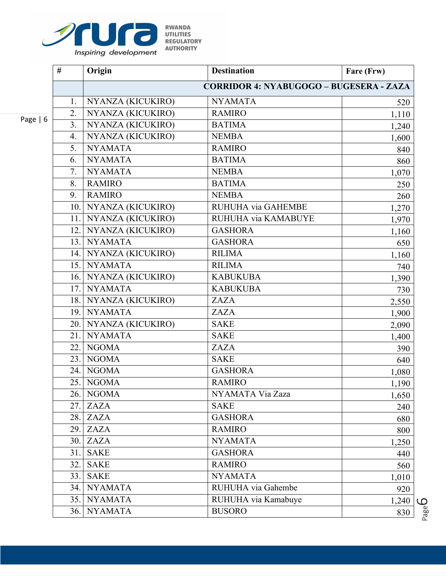

| K VVAN DA         |
|-------------------|
| UTILITIES         |
| <b>REGULATORY</b> |
| AUTHORITY         |
|                   |

| o |  |
|---|--|
|---|--|

| #                | Origin                | <b>Destination</b>                      | Fare (Frw) |
|------------------|-----------------------|-----------------------------------------|------------|
|                  |                       | CORRIDOR 4: NYABUGOGO - BUGESERA - ZAZA |            |
| 1.               | NYANZA (KICUKIRO)     | <b>NYAMATA</b>                          | 520        |
| 2.               | NYANZA (KICUKIRO)     | <b>RAMIRO</b>                           | 1,110      |
| 3.               | NYANZA (KICUKIRO)     | <b>BATIMA</b>                           | 1,240      |
| $\overline{4}$ . | NYANZA (KICUKIRO)     | <b>NEMBA</b>                            | 1,600      |
| 5.               | <b>NYAMATA</b>        | <b>RAMIRO</b>                           | 840        |
| 6.               | <b>NYAMATA</b>        | <b>BATIMA</b>                           | 860        |
| 7.               | <b>NYAMATA</b>        | <b>NEMBA</b>                            | 1,070      |
| 8.               | <b>RAMIRO</b>         | <b>BATIMA</b>                           | 250        |
| 9.               | <b>RAMIRO</b>         | <b>NEMBA</b>                            | 260        |
| 10.              | NYANZA (KICUKIRO)     | RUHUHA via GAHEMBE                      | 1,270      |
| 11.              | NYANZA (KICUKIRO)     | RUHUHA via KAMABUYE                     | 1,970      |
| 12.              | NYANZA (KICUKIRO)     | <b>GASHORA</b>                          | 1,160      |
| 13.              | <b>NYAMATA</b>        | <b>GASHORA</b>                          | 650        |
|                  | 14. NYANZA (KICUKIRO) | <b>RILIMA</b>                           | 1,160      |
| 15.1             | <b>NYAMATA</b>        | <b>RILIMA</b>                           | 740        |
| 16.              | NYANZA (KICUKIRO)     | <b>KABUKUBA</b>                         | 1,390      |
| 17.              | <b>NYAMATA</b>        | <b>KABUKUBA</b>                         | 730        |
|                  | 18. NYANZA (KICUKIRO) | <b>ZAZA</b>                             | 2,550      |
| 19.              | <b>NYAMATA</b>        | <b>ZAZA</b>                             | 1,900      |
|                  | 20. NYANZA (KICUKIRO) | <b>SAKE</b>                             | 2,090      |
| 21.              | <b>NYAMATA</b>        | <b>SAKE</b>                             | 1,400      |
| 22.              | <b>NGOMA</b>          | ZAZA                                    | 390        |
| 23.1             | <b>NGOMA</b>          | <b>SAKE</b>                             | 640        |
| 24.1             | <b>NGOMA</b>          | <b>GASHORA</b>                          | 1,080      |
| 25.              | <b>NGOMA</b>          | <b>RAMIRO</b>                           | 1,190      |
| 26.1             | <b>NGOMA</b>          | NYAMATA Via Zaza                        | 1,650      |
| 27.              | <b>ZAZA</b>           | <b>SAKE</b>                             | 240        |
| 28.              | <b>ZAZA</b>           | <b>GASHORA</b>                          | 680        |
| 29.              | <b>ZAZA</b>           | <b>RAMIRO</b>                           | 800        |
| 30.              | <b>ZAZA</b>           | <b>NYAMATA</b>                          | 1,250      |
| 31.              | <b>SAKE</b>           | <b>GASHORA</b>                          | 440        |
| 32.              | <b>SAKE</b>           | <b>RAMIRO</b>                           | 560        |
| 33.              | <b>SAKE</b>           | <b>NYAMATA</b>                          | 1,010      |
| 34.              | <b>NYAMATA</b>        | RUHUHA via Gahembe                      | 920        |
| 35.              | <b>NYAMATA</b>        | RUHUHA via Kamabuye                     | 1,240      |
| 36.              | <b>NYAMATA</b>        | <b>BUSORO</b>                           | 830        |

Page 6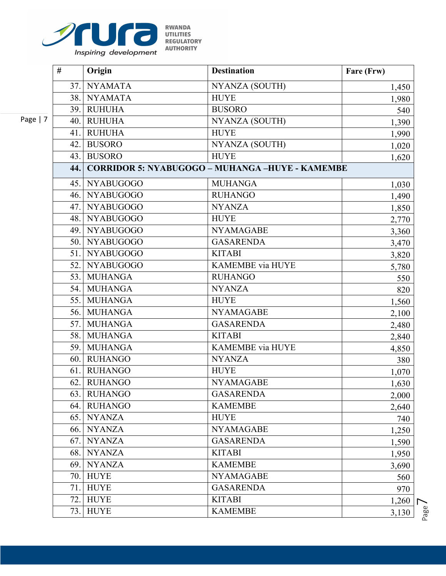

|                | #    | Origin           | <b>Destination</b>                                     | Fare (Frw) |
|----------------|------|------------------|--------------------------------------------------------|------------|
|                | 37.1 | <b>NYAMATA</b>   | NYANZA (SOUTH)                                         | 1,450      |
|                | 38.  | <b>NYAMATA</b>   | <b>HUYE</b>                                            | 1,980      |
|                | 39.  | <b>RUHUHA</b>    | <b>BUSORO</b>                                          | 540        |
| $\overline{7}$ | 40.  | <b>RUHUHA</b>    | NYANZA (SOUTH)                                         | 1,390      |
|                | 41.  | <b>RUHUHA</b>    | <b>HUYE</b>                                            | 1,990      |
|                | 42.  | <b>BUSORO</b>    | NYANZA (SOUTH)                                         | 1,020      |
|                | 43.1 | <b>BUSORO</b>    | <b>HUYE</b>                                            | 1,620      |
|                | 44.  |                  | <b>CORRIDOR 5: NYABUGOGO - MUHANGA -HUYE - KAMEMBE</b> |            |
|                |      | 45. NYABUGOGO    | <b>MUHANGA</b>                                         | 1,030      |
|                | 46.  | <b>NYABUGOGO</b> | <b>RUHANGO</b>                                         | 1,490      |
|                | 47.  | <b>NYABUGOGO</b> | <b>NYANZA</b>                                          | 1,850      |
|                |      | 48. NYABUGOGO    | <b>HUYE</b>                                            | 2,770      |
|                | 49.  | <b>NYABUGOGO</b> | <b>NYAMAGABE</b>                                       | 3,360      |
|                |      | 50. NYABUGOGO    | <b>GASARENDA</b>                                       | 3,470      |
|                |      | 51. NYABUGOGO    | <b>KITABI</b>                                          | 3,820      |
|                | 52.1 | <b>NYABUGOGO</b> | <b>KAMEMBE</b> via HUYE                                | 5,780      |
|                | 53.1 | <b>MUHANGA</b>   | <b>RUHANGO</b>                                         | 550        |
|                | 54.  | <b>MUHANGA</b>   | <b>NYANZA</b>                                          | 820        |
|                | 55.1 | <b>MUHANGA</b>   | <b>HUYE</b>                                            | 1,560      |
|                | 56.1 | <b>MUHANGA</b>   | <b>NYAMAGABE</b>                                       | 2,100      |
|                | 57.  | <b>MUHANGA</b>   | <b>GASARENDA</b>                                       | 2,480      |
|                | 58.1 | <b>MUHANGA</b>   | <b>KITABI</b>                                          | 2,840      |
|                | 59.1 | <b>MUHANGA</b>   | KAMEMBE via HUYE                                       | 4,850      |
|                | 60.  | <b>RUHANGO</b>   | <b>NYANZA</b>                                          | 380        |
|                | 61.  | <b>RUHANGO</b>   | <b>HUYE</b>                                            | 1,070      |
|                | 62.  | <b>RUHANGO</b>   | <b>NYAMAGABE</b>                                       | 1,630      |
|                | 63.  | <b>RUHANGO</b>   | <b>GASARENDA</b>                                       | 2,000      |
|                | 64.  | <b>RUHANGO</b>   | <b>KAMEMBE</b>                                         | 2,640      |
|                | 65.  | <b>NYANZA</b>    | <b>HUYE</b>                                            | 740        |
|                | 66.  | <b>NYANZA</b>    | <b>NYAMAGABE</b>                                       | 1,250      |
|                | 67.  | <b>NYANZA</b>    | <b>GASARENDA</b>                                       | 1,590      |
|                | 68.  | <b>NYANZA</b>    | <b>KITABI</b>                                          | 1,950      |
|                | 69.  | <b>NYANZA</b>    | <b>KAMEMBE</b>                                         | 3,690      |
|                | 70.  | <b>HUYE</b>      | <b>NYAMAGABE</b>                                       | 560        |
|                | 71.  | <b>HUYE</b>      | <b>GASARENDA</b>                                       | 970        |
|                | 72.  | <b>HUYE</b>      | <b>KITABI</b>                                          | 1,260      |
|                | 73.  | <b>HUYE</b>      | <b>KAMEMBE</b>                                         | 3,130      |

Page |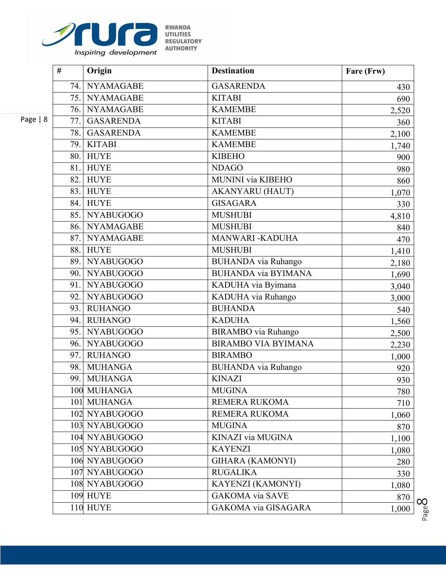

| KWANDA           |
|------------------|
| UTILITIES        |
| REGULATORY       |
| <b>AUTHORITY</b> |
|                  |

|       | #    | Origin           | <b>Destination</b>         | Fare (Frw) |
|-------|------|------------------|----------------------------|------------|
|       | 74.  | <b>NYAMAGABE</b> | <b>GASARENDA</b>           | 430        |
|       |      | 75. NYAMAGABE    | <b>KITABI</b>              | 690        |
|       | 76.  | <b>NYAMAGABE</b> | <b>KAMEMBE</b>             | 2,520      |
| $= 8$ | 77.  | <b>GASARENDA</b> | <b>KITABI</b>              | 360        |
|       | 78.  | <b>GASARENDA</b> | <b>KAMEMBE</b>             | 2,100      |
|       | 79.  | <b>KITABI</b>    | <b>KAMEMBE</b>             | 1,740      |
|       | 80.  | <b>HUYE</b>      | <b>KIBEHO</b>              | 900        |
|       | 81.  | <b>HUYE</b>      | <b>NDAGO</b>               | 980        |
|       | 82.  | <b>HUYE</b>      | <b>MUNINI</b> via KIBEHO   | 860        |
|       | 83.  | <b>HUYE</b>      | <b>AKANYARU (HAUT)</b>     | 1,070      |
|       | 84.  | <b>HUYE</b>      | <b>GISAGARA</b>            | 330        |
|       | 85.1 | <b>NYABUGOGO</b> | <b>MUSHUBI</b>             | 4,810      |
|       | 86.  | <b>NYAMAGABE</b> | <b>MUSHUBI</b>             | 840        |
|       | 87.  | <b>NYAMAGABE</b> | MANWARI - KADUHA           | 470        |
|       | 88.  | <b>HUYE</b>      | <b>MUSHUBI</b>             | 1,410      |
|       | 89.  | NYABUGOGO        | <b>BUHANDA</b> via Ruhango | 2,180      |
|       | 90.  | <b>NYABUGOGO</b> | <b>BUHANDA via BYIMANA</b> | 1,690      |
|       | 91.  | <b>NYABUGOGO</b> | KADUHA via Byimana         | 3,040      |
|       | 92.  | <b>NYABUGOGO</b> | KADUHA via Ruhango         | 3,000      |
|       | 93.  | <b>RUHANGO</b>   | <b>BUHANDA</b>             | 540        |
|       | 94.  | <b>RUHANGO</b>   | <b>KADUHA</b>              | 1,560      |
|       | 95.1 | <b>NYABUGOGO</b> | <b>BIRAMBO</b> via Ruhango | 2,500      |
|       | 96.  | <b>NYABUGOGO</b> | <b>BIRAMBO VIA BYIMANA</b> | 2,230      |
|       | 97.  | <b>RUHANGO</b>   | <b>BIRAMBO</b>             | 1,000      |
|       | 98.  | <b>MUHANGA</b>   | <b>BUHANDA</b> via Ruhango | 920        |
|       | 99.  | <b>MUHANGA</b>   | <b>KINAZI</b>              | 930        |
|       |      | 100 MUHANGA      | <b>MUGINA</b>              | 780        |
|       |      | 101 MUHANGA      | REMERA RUKOMA              | 710        |
|       |      | 102 NYABUGOGO    | <b>REMERA RUKOMA</b>       | 1,060      |
|       |      | 103 NYABUGOGO    | <b>MUGINA</b>              | 870        |
|       |      | 104 NYABUGOGO    | KINAZI via MUGINA          | 1,100      |
|       |      | 105 NYABUGOGO    | <b>KAYENZI</b>             | 1,080      |
|       |      | 106 NYABUGOGO    | <b>GIHARA (KAMONYI)</b>    | 280        |
|       |      | 107 NYABUGOGO    | <b>RUGALIKA</b>            | 330        |
|       |      | 108 NYABUGOGO    | <b>KAYENZI (KAMONYI)</b>   | 1,080      |
|       |      | <b>109 HUYE</b>  | <b>GAKOMA</b> via SAVE     | 870        |
|       |      | <b>110 HUYE</b>  | GAKOMA via GISAGARA        | 1,000      |

Page |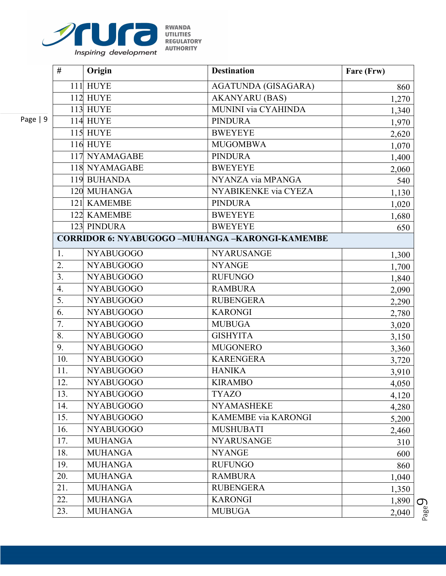

| <b>KWANDA</b>     |
|-------------------|
| <b>UTILITIES</b>  |
| <b>REGULATORY</b> |
| <b>AUTHORITY</b>  |
|                   |

|          | #                | Origin                                                 | <b>Destination</b>         | Fare (Frw) |
|----------|------------------|--------------------------------------------------------|----------------------------|------------|
|          |                  | <b>111 HUYE</b>                                        | AGATUNDA (GISAGARA)        | 860        |
|          |                  | <b>112 HUYE</b>                                        | <b>AKANYARU</b> (BAS)      | 1,270      |
|          |                  | <b>113 HUYE</b>                                        | <b>MUNINI</b> via CYAHINDA | 1,340      |
| Page   9 |                  | <b>114 HUYE</b>                                        | <b>PINDURA</b>             | 1,970      |
|          |                  | <b>115 HUYE</b>                                        | <b>BWEYEYE</b>             | 2,620      |
|          |                  | <b>116 HUYE</b>                                        | <b>MUGOMBWA</b>            | 1,070      |
|          |                  | 117 NYAMAGABE                                          | <b>PINDURA</b>             | 1,400      |
|          |                  | 118 NYAMAGABE                                          | <b>BWEYEYE</b>             | 2,060      |
|          |                  | 119 BUHANDA                                            | NYANZA via MPANGA          | 540        |
|          |                  | 120 MUHANGA                                            | NYABIKENKE via CYEZA       | 1,130      |
|          |                  | 121 KAMEMBE                                            | <b>PINDURA</b>             | 1,020      |
|          |                  | 122 KAMEMBE                                            | <b>BWEYEYE</b>             | 1,680      |
|          |                  | 123 PINDURA                                            | <b>BWEYEYE</b>             | 650        |
|          |                  | <b>CORRIDOR 6: NYABUGOGO -MUHANGA -KARONGI-KAMEMBE</b> |                            |            |
|          | 1.               | <b>NYABUGOGO</b>                                       | <b>NYARUSANGE</b>          | 1,300      |
|          | 2.               | <b>NYABUGOGO</b>                                       | <b>NYANGE</b>              | 1,700      |
|          | 3.               | <b>NYABUGOGO</b>                                       | <b>RUFUNGO</b>             | 1,840      |
|          | $\overline{4}$ . | <b>NYABUGOGO</b>                                       | <b>RAMBURA</b>             | 2,090      |
|          | 5.               | <b>NYABUGOGO</b>                                       | <b>RUBENGERA</b>           | 2,290      |
|          | 6.               | <b>NYABUGOGO</b>                                       | <b>KARONGI</b>             | 2,780      |
|          | 7.               | <b>NYABUGOGO</b>                                       | <b>MUBUGA</b>              | 3,020      |
|          | 8.               | <b>NYABUGOGO</b>                                       | <b>GISHYITA</b>            | 3,150      |
|          | 9.               | <b>NYABUGOGO</b>                                       | <b>MUGONERO</b>            | 3,360      |
|          | 10.              | <b>NYABUGOGO</b>                                       | <b>KARENGERA</b>           | 3,720      |
|          | 11.              | <b>NYABUGOGO</b>                                       | <b>HANIKA</b>              | 3,910      |
|          | 12.              | <b>NYABUGOGO</b>                                       | <b>KIRAMBO</b>             | 4,050      |
|          | 13.              | <b>NYABUGOGO</b>                                       | <b>TYAZO</b>               | 4,120      |
|          | 14.              | <b>NYABUGOGO</b>                                       | <b>NYAMASHEKE</b>          | 4,280      |
|          | 15.              | <b>NYABUGOGO</b>                                       | KAMEMBE via KARONGI        | 5,200      |
|          | 16.              | <b>NYABUGOGO</b>                                       | <b>MUSHUBATI</b>           | 2,460      |
|          | 17.              | <b>MUHANGA</b>                                         | <b>NYARUSANGE</b>          | 310        |
|          | 18.              | <b>MUHANGA</b>                                         | <b>NYANGE</b>              | 600        |
|          | 19.              | <b>MUHANGA</b>                                         | <b>RUFUNGO</b>             | 860        |
|          | 20.              | <b>MUHANGA</b>                                         | <b>RAMBURA</b>             | 1,040      |
|          | 21.              | <b>MUHANGA</b>                                         | <b>RUBENGERA</b>           | 1,350      |
|          | 22.              | <b>MUHANGA</b>                                         | <b>KARONGI</b>             | 1,890      |
|          | 23.              | <b>MUHANGA</b>                                         | <b>MUBUGA</b>              | 2,040      |

Page  $\mathcal{O}_2$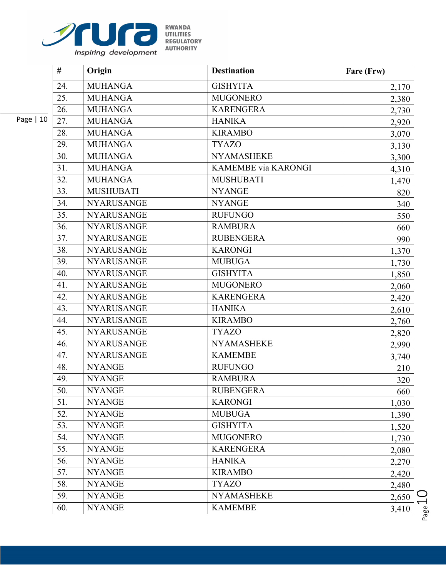

|           | #   | Origin            | <b>Destination</b>         | Fare (Frw) |
|-----------|-----|-------------------|----------------------------|------------|
|           | 24. | <b>MUHANGA</b>    | <b>GISHYITA</b>            | 2,170      |
|           | 25. | <b>MUHANGA</b>    | <b>MUGONERO</b>            | 2,380      |
|           | 26. | <b>MUHANGA</b>    | <b>KARENGERA</b>           | 2,730      |
| Page   10 | 27. | <b>MUHANGA</b>    | <b>HANIKA</b>              | 2,920      |
|           | 28. | <b>MUHANGA</b>    | <b>KIRAMBO</b>             | 3,070      |
|           | 29. | <b>MUHANGA</b>    | <b>TYAZO</b>               | 3,130      |
|           | 30. | <b>MUHANGA</b>    | <b>NYAMASHEKE</b>          | 3,300      |
|           | 31. | <b>MUHANGA</b>    | <b>KAMEMBE</b> via KARONGI | 4,310      |
|           | 32. | <b>MUHANGA</b>    | <b>MUSHUBATI</b>           | 1,470      |
|           | 33. | <b>MUSHUBATI</b>  | <b>NYANGE</b>              | 820        |
|           | 34. | <b>NYARUSANGE</b> | <b>NYANGE</b>              | 340        |
|           | 35. | <b>NYARUSANGE</b> | <b>RUFUNGO</b>             | 550        |
|           | 36. | <b>NYARUSANGE</b> | <b>RAMBURA</b>             | 660        |
|           | 37. | <b>NYARUSANGE</b> | <b>RUBENGERA</b>           | 990        |
|           | 38. | <b>NYARUSANGE</b> | <b>KARONGI</b>             | 1,370      |
|           | 39. | <b>NYARUSANGE</b> | <b>MUBUGA</b>              | 1,730      |
|           | 40. | <b>NYARUSANGE</b> | <b>GISHYITA</b>            | 1,850      |
|           | 41. | <b>NYARUSANGE</b> | <b>MUGONERO</b>            | 2,060      |
|           | 42. | <b>NYARUSANGE</b> | <b>KARENGERA</b>           | 2,420      |
|           | 43. | <b>NYARUSANGE</b> | <b>HANIKA</b>              | 2,610      |
|           | 44. | <b>NYARUSANGE</b> | <b>KIRAMBO</b>             | 2,760      |
|           | 45. | <b>NYARUSANGE</b> | <b>TYAZO</b>               | 2,820      |
|           | 46. | <b>NYARUSANGE</b> | <b>NYAMASHEKE</b>          | 2,990      |
|           | 47. | <b>NYARUSANGE</b> | <b>KAMEMBE</b>             | 3,740      |
|           | 48. | <b>NYANGE</b>     | <b>RUFUNGO</b>             | 210        |
|           | 49. | <b>NYANGE</b>     | <b>RAMBURA</b>             | 320        |
|           | 50. | <b>NYANGE</b>     | <b>RUBENGERA</b>           | 660        |
|           | 51. | <b>NYANGE</b>     | <b>KARONGI</b>             | 1,030      |
|           | 52. | <b>NYANGE</b>     | <b>MUBUGA</b>              | 1,390      |
|           | 53. | <b>NYANGE</b>     | <b>GISHYITA</b>            | 1,520      |
|           | 54. | <b>NYANGE</b>     | <b>MUGONERO</b>            | 1,730      |
|           | 55. | <b>NYANGE</b>     | <b>KARENGERA</b>           | 2,080      |
|           | 56. | <b>NYANGE</b>     | <b>HANIKA</b>              | 2,270      |
|           | 57. | <b>NYANGE</b>     | <b>KIRAMBO</b>             | 2,420      |
|           | 58. | <b>NYANGE</b>     | <b>TYAZO</b>               | 2,480      |
|           | 59. | <b>NYANGE</b>     | <b>NYAMASHEKE</b>          | 2,650      |
|           | 60. | <b>NYANGE</b>     | <b>KAMEMBE</b>             | 3,410      |

 $P_{\text{age}}10$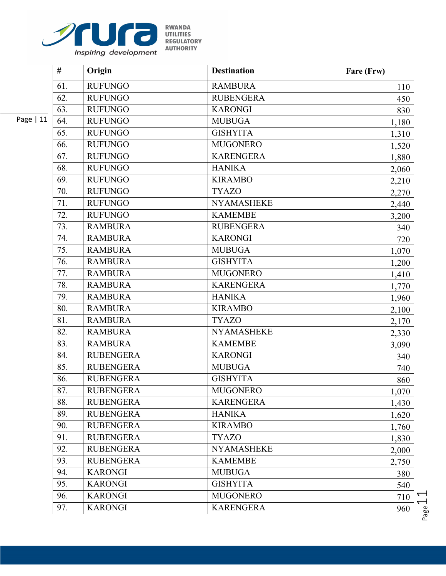

|            | #   | Origin           | <b>Destination</b> | Fare (Frw) |
|------------|-----|------------------|--------------------|------------|
|            | 61. | <b>RUFUNGO</b>   | <b>RAMBURA</b>     | 110        |
|            | 62. | <b>RUFUNGO</b>   | <b>RUBENGERA</b>   | 450        |
|            | 63. | <b>RUFUNGO</b>   | <b>KARONGI</b>     | 830        |
| Page $ 11$ | 64. | <b>RUFUNGO</b>   | <b>MUBUGA</b>      | 1,180      |
|            | 65. | <b>RUFUNGO</b>   | <b>GISHYITA</b>    | 1,310      |
|            | 66. | <b>RUFUNGO</b>   | <b>MUGONERO</b>    | 1,520      |
|            | 67. | <b>RUFUNGO</b>   | <b>KARENGERA</b>   | 1,880      |
|            | 68. | <b>RUFUNGO</b>   | <b>HANIKA</b>      | 2,060      |
|            | 69. | <b>RUFUNGO</b>   | <b>KIRAMBO</b>     | 2,210      |
|            | 70. | <b>RUFUNGO</b>   | <b>TYAZO</b>       | 2,270      |
|            | 71. | <b>RUFUNGO</b>   | <b>NYAMASHEKE</b>  | 2,440      |
|            | 72. | <b>RUFUNGO</b>   | <b>KAMEMBE</b>     | 3,200      |
|            | 73. | <b>RAMBURA</b>   | <b>RUBENGERA</b>   | 340        |
|            | 74. | <b>RAMBURA</b>   | <b>KARONGI</b>     | 720        |
|            | 75. | <b>RAMBURA</b>   | <b>MUBUGA</b>      | 1,070      |
|            | 76. | <b>RAMBURA</b>   | <b>GISHYITA</b>    | 1,200      |
|            | 77. | <b>RAMBURA</b>   | <b>MUGONERO</b>    | 1,410      |
|            | 78. | <b>RAMBURA</b>   | <b>KARENGERA</b>   | 1,770      |
|            | 79. | <b>RAMBURA</b>   | <b>HANIKA</b>      | 1,960      |
|            | 80. | <b>RAMBURA</b>   | <b>KIRAMBO</b>     | 2,100      |
|            | 81. | <b>RAMBURA</b>   | <b>TYAZO</b>       | 2,170      |
|            | 82. | <b>RAMBURA</b>   | <b>NYAMASHEKE</b>  | 2,330      |
|            | 83. | <b>RAMBURA</b>   | <b>KAMEMBE</b>     | 3,090      |
|            | 84. | <b>RUBENGERA</b> | <b>KARONGI</b>     | 340        |
|            | 85. | <b>RUBENGERA</b> | <b>MUBUGA</b>      | 740        |
|            | 86. | <b>RUBENGERA</b> | <b>GISHYITA</b>    | 860        |
|            | 87. | <b>RUBENGERA</b> | <b>MUGONERO</b>    | 1,070      |
|            | 88. | <b>RUBENGERA</b> | <b>KARENGERA</b>   | 1,430      |
|            | 89. | <b>RUBENGERA</b> | <b>HANIKA</b>      | 1,620      |
|            | 90. | <b>RUBENGERA</b> | <b>KIRAMBO</b>     | 1,760      |
|            | 91. | <b>RUBENGERA</b> | <b>TYAZO</b>       | 1,830      |
|            | 92. | <b>RUBENGERA</b> | <b>NYAMASHEKE</b>  | 2,000      |
|            | 93. | <b>RUBENGERA</b> | <b>KAMEMBE</b>     | 2,750      |
|            | 94. | <b>KARONGI</b>   | <b>MUBUGA</b>      | 380        |
|            | 95. | <b>KARONGI</b>   | <b>GISHYITA</b>    | 540        |
|            | 96. | <b>KARONGI</b>   | <b>MUGONERO</b>    | 710        |
|            | 97. | <b>KARONGI</b>   | <b>KARENGERA</b>   | 960        |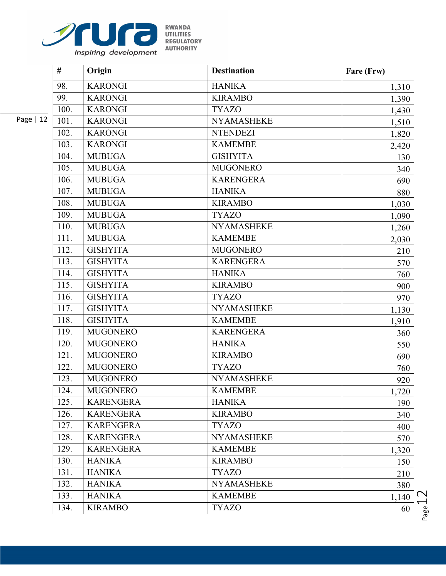

|            | #    | Origin           | <b>Destination</b> | Fare (Frw) |
|------------|------|------------------|--------------------|------------|
|            | 98.  | <b>KARONGI</b>   | <b>HANIKA</b>      | 1,310      |
|            | 99.  | <b>KARONGI</b>   | <b>KIRAMBO</b>     | 1,390      |
|            | 100. | <b>KARONGI</b>   | <b>TYAZO</b>       | 1,430      |
| Page $ 12$ | 101. | <b>KARONGI</b>   | <b>NYAMASHEKE</b>  | 1,510      |
|            | 102. | <b>KARONGI</b>   | <b>NTENDEZI</b>    | 1,820      |
|            | 103. | <b>KARONGI</b>   | <b>KAMEMBE</b>     | 2,420      |
|            | 104. | <b>MUBUGA</b>    | <b>GISHYITA</b>    | 130        |
|            | 105. | <b>MUBUGA</b>    | <b>MUGONERO</b>    | 340        |
|            | 106. | <b>MUBUGA</b>    | <b>KARENGERA</b>   | 690        |
|            | 107. | <b>MUBUGA</b>    | <b>HANIKA</b>      | 880        |
|            | 108. | <b>MUBUGA</b>    | <b>KIRAMBO</b>     | 1,030      |
|            | 109. | <b>MUBUGA</b>    | <b>TYAZO</b>       | 1,090      |
|            | 110. | <b>MUBUGA</b>    | <b>NYAMASHEKE</b>  | 1,260      |
|            | 111. | <b>MUBUGA</b>    | <b>KAMEMBE</b>     | 2,030      |
|            | 112. | <b>GISHYITA</b>  | <b>MUGONERO</b>    | 210        |
|            | 113. | <b>GISHYITA</b>  | <b>KARENGERA</b>   | 570        |
|            | 114. | <b>GISHYITA</b>  | <b>HANIKA</b>      | 760        |
|            | 115. | <b>GISHYITA</b>  | <b>KIRAMBO</b>     | 900        |
|            | 116. | <b>GISHYITA</b>  | <b>TYAZO</b>       | 970        |
|            | 117. | <b>GISHYITA</b>  | <b>NYAMASHEKE</b>  | 1,130      |
|            | 118. | <b>GISHYITA</b>  | <b>KAMEMBE</b>     | 1,910      |
|            | 119. | <b>MUGONERO</b>  | <b>KARENGERA</b>   | 360        |
|            | 120. | <b>MUGONERO</b>  | <b>HANIKA</b>      | 550        |
|            | 121. | <b>MUGONERO</b>  | <b>KIRAMBO</b>     | 690        |
|            | 122. | <b>MUGONERO</b>  | <b>TYAZO</b>       | 760        |
|            | 123. | <b>MUGONERO</b>  | <b>NYAMASHEKE</b>  | 920        |
|            | 124. | <b>MUGONERO</b>  | <b>KAMEMBE</b>     | 1,720      |
|            | 125. | <b>KARENGERA</b> | <b>HANIKA</b>      | 190        |
|            | 126. | <b>KARENGERA</b> | <b>KIRAMBO</b>     | 340        |
|            | 127. | <b>KARENGERA</b> | <b>TYAZO</b>       | 400        |
|            | 128. | <b>KARENGERA</b> | <b>NYAMASHEKE</b>  | 570        |
|            | 129. | <b>KARENGERA</b> | <b>KAMEMBE</b>     | 1,320      |
|            | 130. | <b>HANIKA</b>    | <b>KIRAMBO</b>     | 150        |
|            | 131. | <b>HANIKA</b>    | <b>TYAZO</b>       | 210        |
|            | 132. | <b>HANIKA</b>    | <b>NYAMASHEKE</b>  | 380        |
|            | 133. | <b>HANIKA</b>    | <b>KAMEMBE</b>     | 1,140      |
|            | 134. | <b>KIRAMBO</b>   | <b>TYAZO</b>       | 60         |

 $P_{{\rm age}}12$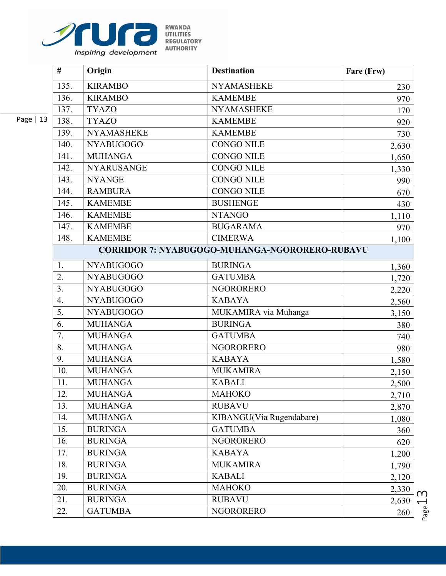

|           | #                | Origin            | <b>Destination</b>                                    | Fare (Frw) |
|-----------|------------------|-------------------|-------------------------------------------------------|------------|
|           | 135.             | <b>KIRAMBO</b>    | <b>NYAMASHEKE</b>                                     | 230        |
|           | 136.             | <b>KIRAMBO</b>    | <b>KAMEMBE</b>                                        | 970        |
|           | 137.             | <b>TYAZO</b>      | <b>NYAMASHEKE</b>                                     | 170        |
| Page   13 | 138.             | <b>TYAZO</b>      | <b>KAMEMBE</b>                                        | 920        |
|           | 139.             | <b>NYAMASHEKE</b> | <b>KAMEMBE</b>                                        | 730        |
|           | 140.             | <b>NYABUGOGO</b>  | <b>CONGO NILE</b>                                     | 2,630      |
|           | 141.             | <b>MUHANGA</b>    | <b>CONGO NILE</b>                                     | 1,650      |
|           | 142.             | <b>NYARUSANGE</b> | <b>CONGO NILE</b>                                     | 1,330      |
|           | 143.             | <b>NYANGE</b>     | <b>CONGO NILE</b>                                     | 990        |
|           | 144.             | <b>RAMBURA</b>    | <b>CONGO NILE</b>                                     | 670        |
|           | 145.             | <b>KAMEMBE</b>    | <b>BUSHENGE</b>                                       | 430        |
|           | 146.             | <b>KAMEMBE</b>    | <b>NTANGO</b>                                         | 1,110      |
|           | 147.             | <b>KAMEMBE</b>    | <b>BUGARAMA</b>                                       | 970        |
|           | 148.             | <b>KAMEMBE</b>    | <b>CIMERWA</b>                                        | 1,100      |
|           |                  |                   | <b>CORRIDOR 7: NYABUGOGO-MUHANGA-NGORORERO-RUBAVU</b> |            |
|           | 1.               | <b>NYABUGOGO</b>  | <b>BURINGA</b>                                        | 1,360      |
|           | 2.               | <b>NYABUGOGO</b>  | <b>GATUMBA</b>                                        | 1,720      |
|           | 3 <sub>1</sub>   | <b>NYABUGOGO</b>  | <b>NGORORERO</b>                                      | 2,220      |
|           | $\overline{4}$ . | <b>NYABUGOGO</b>  | <b>KABAYA</b>                                         | 2,560      |
|           | $\overline{5}$ . | NYABUGOGO         | MUKAMIRA via Muhanga                                  | 3,150      |
|           | 6.               | <b>MUHANGA</b>    | <b>BURINGA</b>                                        | 380        |
|           | 7.               | <b>MUHANGA</b>    | <b>GATUMBA</b>                                        | 740        |
|           | 8.               | <b>MUHANGA</b>    | <b>NGORORERO</b>                                      | 980        |
|           | 9.               | <b>MUHANGA</b>    | <b>KABAYA</b>                                         | 1,580      |
|           | 10.              | <b>MUHANGA</b>    | <b>MUKAMIRA</b>                                       | 2,150      |
|           | 11.              | <b>MUHANGA</b>    | <b>KABALI</b>                                         | 2,500      |
|           | 12.              | <b>MUHANGA</b>    | <b>MAHOKO</b>                                         | 2,710      |
|           | 13.              | <b>MUHANGA</b>    | <b>RUBAVU</b>                                         | 2,870      |
|           | 14.              | <b>MUHANGA</b>    | KIBANGU(Via Rugendabare)                              | 1,080      |
|           | 15.              | <b>BURINGA</b>    | <b>GATUMBA</b>                                        | 360        |
|           | 16.              | <b>BURINGA</b>    | <b>NGORORERO</b>                                      | 620        |
|           | 17.              | <b>BURINGA</b>    | <b>KABAYA</b>                                         | 1,200      |
|           | 18.              | <b>BURINGA</b>    | <b>MUKAMIRA</b>                                       | 1,790      |
|           | 19.              | <b>BURINGA</b>    | <b>KABALI</b>                                         | 2,120      |
|           | 20.              | <b>BURINGA</b>    | <b>MAHOKO</b>                                         | 2,330      |
|           | 21.              | <b>BURINGA</b>    | <b>RUBAVU</b>                                         | 2,630      |
|           | 22.              | <b>GATUMBA</b>    | <b>NGORORERO</b>                                      | 260        |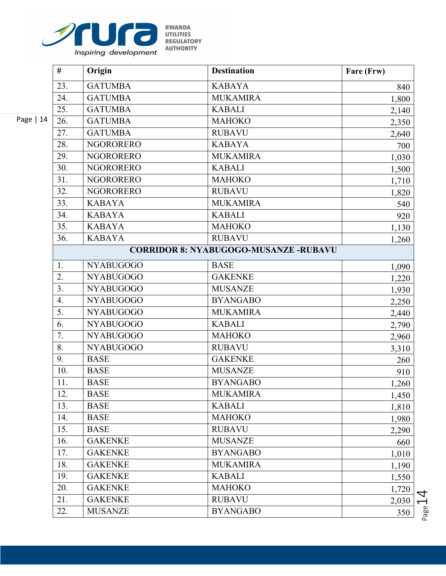

|            | #              | Origin           | <b>Destination</b>                           | Fare (Frw) |
|------------|----------------|------------------|----------------------------------------------|------------|
|            | 23.            | <b>GATUMBA</b>   | <b>KABAYA</b>                                | 840        |
|            | 24.            | <b>GATUMBA</b>   | <b>MUKAMIRA</b>                              | 1,800      |
|            | 25.            | <b>GATUMBA</b>   | <b>KABALI</b>                                | 2,140      |
| Page $ 14$ | 26.            | <b>GATUMBA</b>   | <b>MAHOKO</b>                                | 2,350      |
|            | 27.            | <b>GATUMBA</b>   | <b>RUBAVU</b>                                | 2,640      |
|            | 28.            | <b>NGORORERO</b> | <b>KABAYA</b>                                | 700        |
|            | 29.            | <b>NGORORERO</b> | <b>MUKAMIRA</b>                              | 1,030      |
|            | 30.            | <b>NGORORERO</b> | <b>KABALI</b>                                | 1,500      |
|            | 31.            | <b>NGORORERO</b> | <b>MAHOKO</b>                                | 1,710      |
|            | 32.            | <b>NGORORERO</b> | <b>RUBAVU</b>                                | 1,820      |
|            | 33.            | <b>KABAYA</b>    | <b>MUKAMIRA</b>                              | 540        |
|            | 34.            | <b>KABAYA</b>    | <b>KABALI</b>                                | 920        |
|            | 35.            | <b>KABAYA</b>    | <b>MAHOKO</b>                                | 1,130      |
|            | 36.            | <b>KABAYA</b>    | <b>RUBAVU</b>                                | 1,260      |
|            |                |                  | <b>CORRIDOR 8: NYABUGOGO-MUSANZE -RUBAVU</b> |            |
|            | 1.             | <b>NYABUGOGO</b> | <b>BASE</b>                                  | 1,090      |
|            | 2.             | <b>NYABUGOGO</b> | <b>GAKENKE</b>                               | 1,220      |
|            | 3 <sub>1</sub> | <b>NYABUGOGO</b> | <b>MUSANZE</b>                               | 1,930      |
|            | 4.             | <b>NYABUGOGO</b> | <b>BYANGABO</b>                              | 2,250      |
|            | 5.             | <b>NYABUGOGO</b> | <b>MUKAMIRA</b>                              | 2,440      |
|            | 6.             | <b>NYABUGOGO</b> | <b>KABALI</b>                                | 2,790      |
|            | 7.             | <b>NYABUGOGO</b> | <b>MAHOKO</b>                                | 2,960      |
|            | 8.             | <b>NYABUGOGO</b> | <b>RUBAVU</b>                                | 3,310      |
|            | 9.             | <b>BASE</b>      | <b>GAKENKE</b>                               | 260        |
|            | 10.            | <b>BASE</b>      | <b>MUSANZE</b>                               | 910        |
|            | 11.            | <b>BASE</b>      | <b>BYANGABO</b>                              | 1,260      |
|            | 12.            | <b>BASE</b>      | <b>MUKAMIRA</b>                              | 1,450      |
|            | 13.            | <b>BASE</b>      | <b>KABALI</b>                                | 1,810      |
|            | 14.            | <b>BASE</b>      | <b>MAHOKO</b>                                | 1,980      |
|            | 15.            | <b>BASE</b>      | <b>RUBAVU</b>                                | 2,290      |
|            | 16.            | <b>GAKENKE</b>   | <b>MUSANZE</b>                               | 660        |
|            | 17.            | <b>GAKENKE</b>   | <b>BYANGABO</b>                              | 1,010      |
|            | 18.            | <b>GAKENKE</b>   | <b>MUKAMIRA</b>                              | 1,190      |
|            | 19.            | <b>GAKENKE</b>   | <b>KABALI</b>                                | 1,550      |
|            | 20.            | <b>GAKENKE</b>   | <b>MAHOKO</b>                                | 1,720      |
|            | 21.            | <b>GAKENKE</b>   | <b>RUBAVU</b>                                | 2,030      |
|            | 22.            | <b>MUSANZE</b>   | <b>BYANGABO</b>                              | 350        |

 $P_{{\rm age}}1\overline{4}$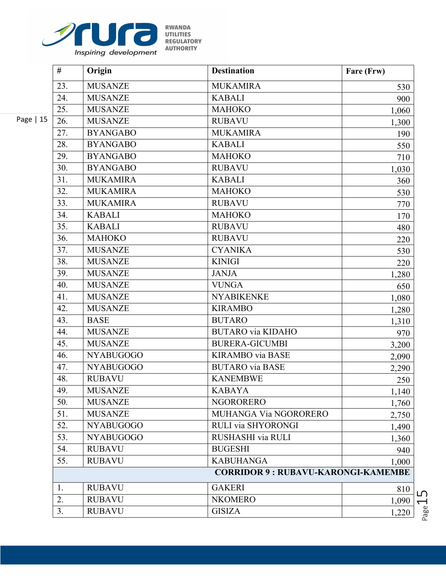

|            | #   | Origin           | <b>Destination</b>                        | Fare (Frw) |
|------------|-----|------------------|-------------------------------------------|------------|
|            | 23. | <b>MUSANZE</b>   | <b>MUKAMIRA</b>                           | 530        |
|            | 24. | <b>MUSANZE</b>   | <b>KABALI</b>                             | 900        |
|            | 25. | <b>MUSANZE</b>   | <b>MAHOKO</b>                             | 1,060      |
| Page $ 15$ | 26. | <b>MUSANZE</b>   | <b>RUBAVU</b>                             | 1,300      |
|            | 27. | <b>BYANGABO</b>  | <b>MUKAMIRA</b>                           | 190        |
|            | 28. | <b>BYANGABO</b>  | <b>KABALI</b>                             | 550        |
|            | 29. | <b>BYANGABO</b>  | <b>MAHOKO</b>                             | 710        |
|            | 30. | <b>BYANGABO</b>  | <b>RUBAVU</b>                             | 1,030      |
|            | 31. | <b>MUKAMIRA</b>  | <b>KABALI</b>                             | 360        |
|            | 32. | <b>MUKAMIRA</b>  | <b>MAHOKO</b>                             | 530        |
|            | 33. | <b>MUKAMIRA</b>  | <b>RUBAVU</b>                             | 770        |
|            | 34. | <b>KABALI</b>    | <b>MAHOKO</b>                             | 170        |
|            | 35. | <b>KABALI</b>    | <b>RUBAVU</b>                             | 480        |
|            | 36. | <b>MAHOKO</b>    | <b>RUBAVU</b>                             | 220        |
|            | 37. | <b>MUSANZE</b>   | <b>CYANIKA</b>                            | 530        |
|            | 38. | <b>MUSANZE</b>   | <b>KINIGI</b>                             | 220        |
|            | 39. | <b>MUSANZE</b>   | <b>JANJA</b>                              | 1,280      |
|            | 40. | <b>MUSANZE</b>   | <b>VUNGA</b>                              | 650        |
|            | 41. | <b>MUSANZE</b>   | <b>NYABIKENKE</b>                         | 1,080      |
|            | 42. | <b>MUSANZE</b>   | <b>KIRAMBO</b>                            | 1,280      |
|            | 43. | <b>BASE</b>      | <b>BUTARO</b>                             | 1,310      |
|            | 44. | <b>MUSANZE</b>   | <b>BUTARO</b> via KIDAHO                  | 970        |
|            | 45. | <b>MUSANZE</b>   | <b>BURERA-GICUMBI</b>                     | 3,200      |
|            | 46. | <b>NYABUGOGO</b> | <b>KIRAMBO</b> via BASE                   | 2,090      |
|            | 47. | <b>NYABUGOGO</b> | <b>BUTARO</b> via BASE                    | 2,290      |
|            | 48. | <b>RUBAVU</b>    | <b>KANEMBWE</b>                           | 250        |
|            | 49. | <b>MUSANZE</b>   | <b>KABAYA</b>                             | 1,140      |
|            | 50. | <b>MUSANZE</b>   | <b>NGORORERO</b>                          | 1,760      |
|            | 51. | <b>MUSANZE</b>   | MUHANGA Via NGORORERO                     | 2,750      |
|            | 52. | <b>NYABUGOGO</b> | RULI via SHYORONGI                        | 1,490      |
|            | 53. | <b>NYABUGOGO</b> | RUSHASHI via RULI                         | 1,360      |
|            | 54. | <b>RUBAVU</b>    | <b>BUGESHI</b>                            | 940        |
|            | 55. | <b>RUBAVU</b>    | <b>KABUHANGA</b>                          | 1,000      |
|            |     |                  | <b>CORRIDOR 9: RUBAVU-KARONGI-KAMEMBE</b> |            |
|            | 1.  | <b>RUBAVU</b>    | <b>GAKERI</b>                             | 810        |
|            | 2.  | <b>RUBAVU</b>    | <b>NKOMERO</b>                            | 1,090      |
|            | 3.  | <b>RUBAVU</b>    | <b>GISIZA</b>                             | 1,220      |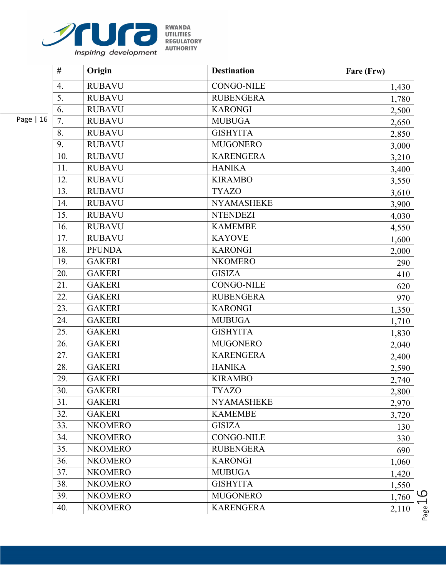

|           | #   | Origin         | <b>Destination</b> | Fare (Frw) |
|-----------|-----|----------------|--------------------|------------|
|           | 4.  | <b>RUBAVU</b>  | <b>CONGO-NILE</b>  | 1,430      |
|           | 5.  | <b>RUBAVU</b>  | <b>RUBENGERA</b>   | 1,780      |
|           | 6.  | <b>RUBAVU</b>  | <b>KARONGI</b>     | 2,500      |
| Page   16 | 7.  | <b>RUBAVU</b>  | <b>MUBUGA</b>      | 2,650      |
|           | 8.  | <b>RUBAVU</b>  | <b>GISHYITA</b>    | 2,850      |
|           | 9.  | <b>RUBAVU</b>  | <b>MUGONERO</b>    | 3,000      |
|           | 10. | <b>RUBAVU</b>  | <b>KARENGERA</b>   | 3,210      |
|           | 11. | <b>RUBAVU</b>  | <b>HANIKA</b>      | 3,400      |
|           | 12. | <b>RUBAVU</b>  | <b>KIRAMBO</b>     | 3,550      |
|           | 13. | <b>RUBAVU</b>  | <b>TYAZO</b>       | 3,610      |
|           | 14. | <b>RUBAVU</b>  | <b>NYAMASHEKE</b>  | 3,900      |
|           | 15. | <b>RUBAVU</b>  | <b>NTENDEZI</b>    | 4,030      |
|           | 16. | <b>RUBAVU</b>  | <b>KAMEMBE</b>     | 4,550      |
|           | 17. | <b>RUBAVU</b>  | <b>KAYOVE</b>      | 1,600      |
|           | 18. | <b>PFUNDA</b>  | <b>KARONGI</b>     | 2,000      |
|           | 19. | <b>GAKERI</b>  | <b>NKOMERO</b>     | 290        |
|           | 20. | <b>GAKERI</b>  | <b>GISIZA</b>      | 410        |
|           | 21. | <b>GAKERI</b>  | <b>CONGO-NILE</b>  | 620        |
|           | 22. | <b>GAKERI</b>  | <b>RUBENGERA</b>   | 970        |
|           | 23. | <b>GAKERI</b>  | <b>KARONGI</b>     | 1,350      |
|           | 24. | <b>GAKERI</b>  | <b>MUBUGA</b>      | 1,710      |
|           | 25. | <b>GAKERI</b>  | <b>GISHYITA</b>    | 1,830      |
|           | 26. | <b>GAKERI</b>  | <b>MUGONERO</b>    | 2,040      |
|           | 27. | <b>GAKERI</b>  | <b>KARENGERA</b>   | 2,400      |
|           | 28. | <b>GAKERI</b>  | <b>HANIKA</b>      | 2,590      |
|           | 29. | <b>GAKERI</b>  | <b>KIRAMBO</b>     | 2,740      |
|           | 30. | <b>GAKERI</b>  | <b>TYAZO</b>       | 2,800      |
|           | 31. | <b>GAKERI</b>  | <b>NYAMASHEKE</b>  | 2,970      |
|           | 32. | <b>GAKERI</b>  | <b>KAMEMBE</b>     | 3,720      |
|           | 33. | <b>NKOMERO</b> | <b>GISIZA</b>      | 130        |
|           | 34. | <b>NKOMERO</b> | <b>CONGO-NILE</b>  | 330        |
|           | 35. | <b>NKOMERO</b> | <b>RUBENGERA</b>   | 690        |
|           | 36. | <b>NKOMERO</b> | <b>KARONGI</b>     | 1,060      |
|           | 37. | <b>NKOMERO</b> | <b>MUBUGA</b>      | 1,420      |
|           | 38. | <b>NKOMERO</b> | <b>GISHYITA</b>    | 1,550      |
|           | 39. | <b>NKOMERO</b> | <b>MUGONERO</b>    | 1,760      |
|           | 40. | <b>NKOMERO</b> | <b>KARENGERA</b>   | 2,110      |